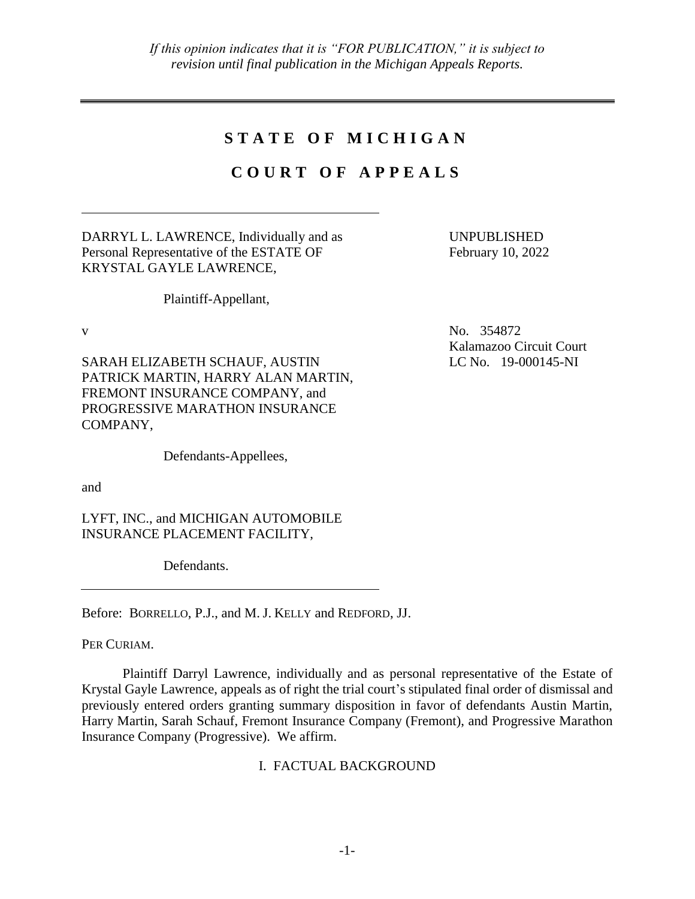# STATE OF MICHIGAN

# **C O U R T O F A P P E A L S**

DARRYL L. LAWRENCE, Individually and as Personal Representative of the ESTATE OF KRYSTAL GAYLE LAWRENCE,

UNPUBLISHED February 10, 2022

Plaintiff-Appellant,

SARAH ELIZABETH SCHAUF, AUSTIN PATRICK MARTIN, HARRY ALAN MARTIN, FREMONT INSURANCE COMPANY, and PROGRESSIVE MARATHON INSURANCE COMPANY,

Defendants-Appellees,

and

LYFT, INC., and MICHIGAN AUTOMOBILE INSURANCE PLACEMENT FACILITY,

Defendants.

Before: BORRELLO, P.J., and M. J. KELLY and REDFORD, JJ.

PER CURIAM.

Plaintiff Darryl Lawrence, individually and as personal representative of the Estate of Krystal Gayle Lawrence, appeals as of right the trial court's stipulated final order of dismissal and previously entered orders granting summary disposition in favor of defendants Austin Martin, Harry Martin, Sarah Schauf, Fremont Insurance Company (Fremont), and Progressive Marathon Insurance Company (Progressive). We affirm.

# I. FACTUAL BACKGROUND

v No. 354872 Kalamazoo Circuit Court LC No. 19-000145-NI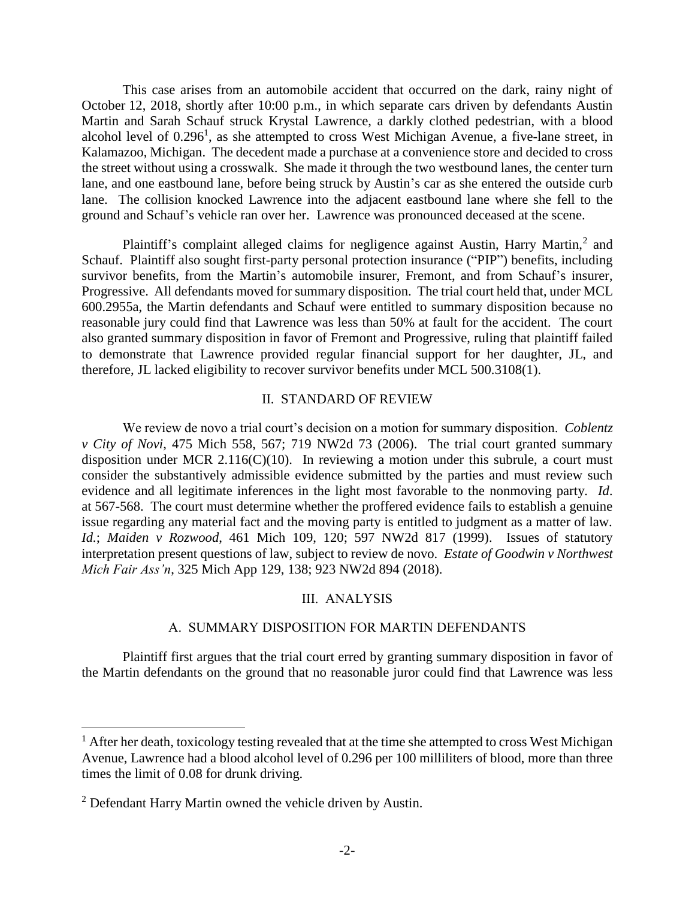This case arises from an automobile accident that occurred on the dark, rainy night of October 12, 2018, shortly after 10:00 p.m., in which separate cars driven by defendants Austin Martin and Sarah Schauf struck Krystal Lawrence, a darkly clothed pedestrian, with a blood alcohol level of  $0.296<sup>1</sup>$ , as she attempted to cross West Michigan Avenue, a five-lane street, in Kalamazoo, Michigan. The decedent made a purchase at a convenience store and decided to cross the street without using a crosswalk. She made it through the two westbound lanes, the center turn lane, and one eastbound lane, before being struck by Austin's car as she entered the outside curb lane. The collision knocked Lawrence into the adjacent eastbound lane where she fell to the ground and Schauf's vehicle ran over her. Lawrence was pronounced deceased at the scene.

Plaintiff's complaint alleged claims for negligence against Austin, Harry Martin,<sup>2</sup> and Schauf. Plaintiff also sought first-party personal protection insurance ("PIP") benefits, including survivor benefits, from the Martin's automobile insurer, Fremont, and from Schauf's insurer, Progressive. All defendants moved for summary disposition. The trial court held that, under MCL 600.2955a, the Martin defendants and Schauf were entitled to summary disposition because no reasonable jury could find that Lawrence was less than 50% at fault for the accident. The court also granted summary disposition in favor of Fremont and Progressive, ruling that plaintiff failed to demonstrate that Lawrence provided regular financial support for her daughter, JL, and therefore, JL lacked eligibility to recover survivor benefits under MCL 500.3108(1).

# II. STANDARD OF REVIEW

We review de novo a trial court's decision on a motion for summary disposition. *Coblentz v City of Novi*, 475 Mich 558, 567; 719 NW2d 73 (2006). The trial court granted summary disposition under MCR 2.116(C)(10). In reviewing a motion under this subrule, a court must consider the substantively admissible evidence submitted by the parties and must review such evidence and all legitimate inferences in the light most favorable to the nonmoving party. *Id*. at 567-568. The court must determine whether the proffered evidence fails to establish a genuine issue regarding any material fact and the moving party is entitled to judgment as a matter of law. *Id.*; *Maiden v Rozwood*, 461 Mich 109, 120; 597 NW2d 817 (1999). Issues of statutory interpretation present questions of law, subject to review de novo. *Estate of Goodwin v Northwest Mich Fair Ass'n*, 325 Mich App 129, 138; 923 NW2d 894 (2018).

### III. ANALYSIS

#### A. SUMMARY DISPOSITION FOR MARTIN DEFENDANTS

Plaintiff first argues that the trial court erred by granting summary disposition in favor of the Martin defendants on the ground that no reasonable juror could find that Lawrence was less

 $\overline{a}$ 

 $<sup>1</sup>$  After her death, toxicology testing revealed that at the time she attempted to cross West Michigan</sup> Avenue, Lawrence had a blood alcohol level of 0.296 per 100 milliliters of blood, more than three times the limit of 0.08 for drunk driving.

<sup>&</sup>lt;sup>2</sup> Defendant Harry Martin owned the vehicle driven by Austin.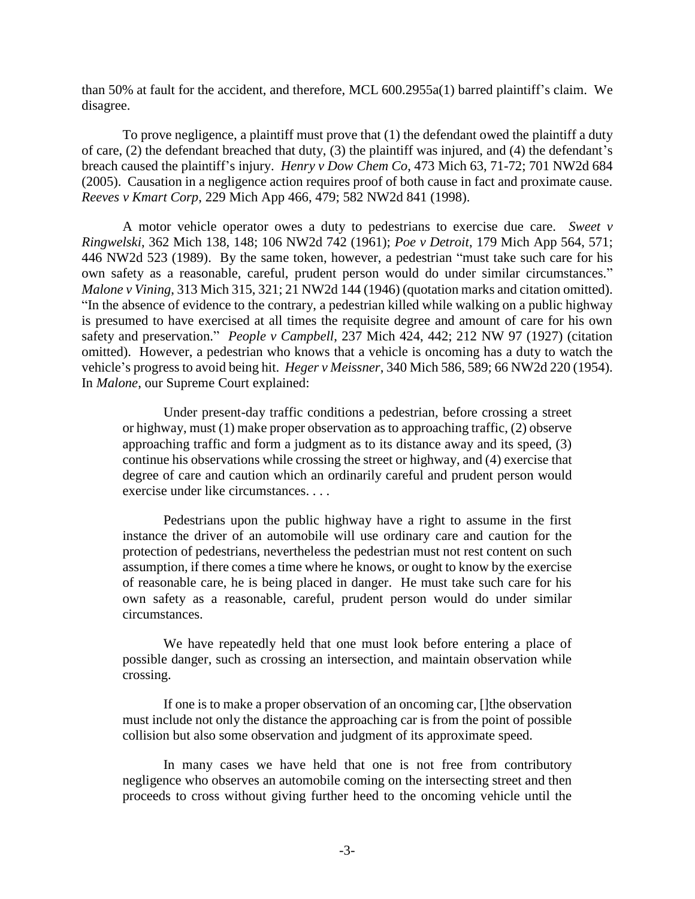than 50% at fault for the accident, and therefore, MCL 600.2955a(1) barred plaintiff's claim. We disagree.

To prove negligence, a plaintiff must prove that (1) the defendant owed the plaintiff a duty of care, (2) the defendant breached that duty, (3) the plaintiff was injured, and (4) the defendant's breach caused the plaintiff's injury. *Henry v Dow Chem Co*, 473 Mich 63, 71-72; 701 NW2d 684 (2005). Causation in a negligence action requires proof of both cause in fact and proximate cause. *Reeves v Kmart Corp*, 229 Mich App 466, 479; 582 NW2d 841 (1998).

A motor vehicle operator owes a duty to pedestrians to exercise due care. *Sweet v Ringwelski*, 362 Mich 138, 148; 106 NW2d 742 (1961); *Poe v Detroit*, 179 Mich App 564, 571; 446 NW2d 523 (1989). By the same token, however, a pedestrian "must take such care for his own safety as a reasonable, careful, prudent person would do under similar circumstances." *Malone v Vining*, 313 Mich 315, 321; 21 NW2d 144 (1946) (quotation marks and citation omitted). "In the absence of evidence to the contrary, a pedestrian killed while walking on a public highway is presumed to have exercised at all times the requisite degree and amount of care for his own safety and preservation." *People v Campbell*, 237 Mich 424, 442; 212 NW 97 (1927) (citation omitted). However, a pedestrian who knows that a vehicle is oncoming has a duty to watch the vehicle's progress to avoid being hit. *Heger v Meissner*, 340 Mich 586, 589; 66 NW2d 220 (1954). In *Malone*, our Supreme Court explained:

Under present-day traffic conditions a pedestrian, before crossing a street or highway, must (1) make proper observation as to approaching traffic, (2) observe approaching traffic and form a judgment as to its distance away and its speed, (3) continue his observations while crossing the street or highway, and (4) exercise that degree of care and caution which an ordinarily careful and prudent person would exercise under like circumstances. . . .

Pedestrians upon the public highway have a right to assume in the first instance the driver of an automobile will use ordinary care and caution for the protection of pedestrians, nevertheless the pedestrian must not rest content on such assumption, if there comes a time where he knows, or ought to know by the exercise of reasonable care, he is being placed in danger. He must take such care for his own safety as a reasonable, careful, prudent person would do under similar circumstances.

We have repeatedly held that one must look before entering a place of possible danger, such as crossing an intersection, and maintain observation while crossing.

If one is to make a proper observation of an oncoming car, []the observation must include not only the distance the approaching car is from the point of possible collision but also some observation and judgment of its approximate speed.

In many cases we have held that one is not free from contributory negligence who observes an automobile coming on the intersecting street and then proceeds to cross without giving further heed to the oncoming vehicle until the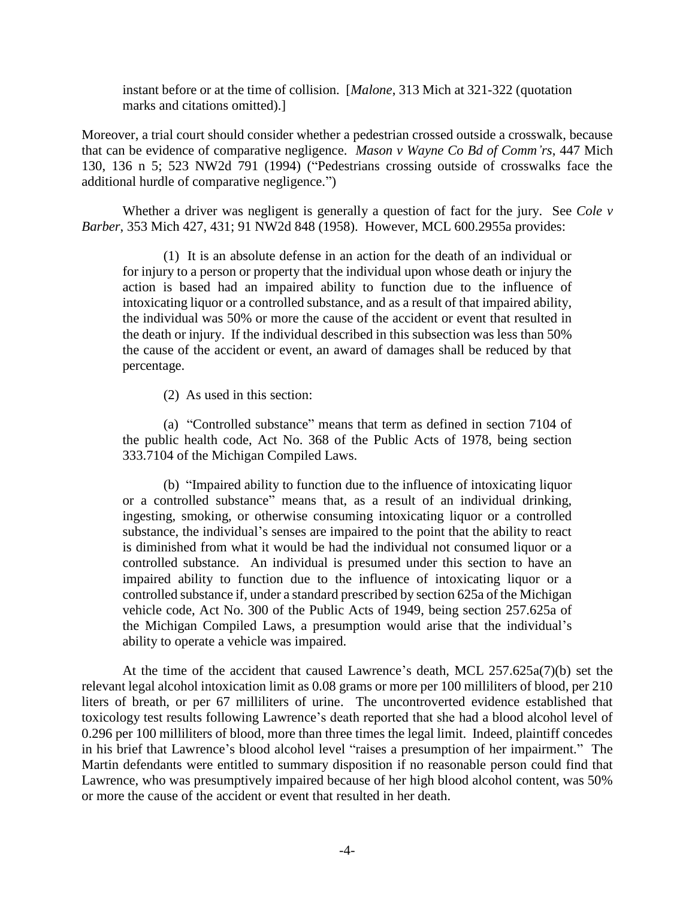instant before or at the time of collision. [*Malone*, 313 Mich at 321-322 (quotation marks and citations omitted).]

Moreover, a trial court should consider whether a pedestrian crossed outside a crosswalk, because that can be evidence of comparative negligence. *Mason v Wayne Co Bd of Comm'rs*, 447 Mich 130, 136 n 5; 523 NW2d 791 (1994) ("Pedestrians crossing outside of crosswalks face the additional hurdle of comparative negligence.")

Whether a driver was negligent is generally a question of fact for the jury. See *Cole v Barber*, 353 Mich 427, 431; 91 NW2d 848 (1958). However, MCL 600.2955a provides:

(1) It is an absolute defense in an action for the death of an individual or for injury to a person or property that the individual upon whose death or injury the action is based had an impaired ability to function due to the influence of intoxicating liquor or a controlled substance, and as a result of that impaired ability, the individual was 50% or more the cause of the accident or event that resulted in the death or injury. If the individual described in this subsection was less than 50% the cause of the accident or event, an award of damages shall be reduced by that percentage.

(2) As used in this section:

(a) "Controlled substance" means that term as defined in section 7104 of the public health code, Act No. 368 of the Public Acts of 1978, being section 333.7104 of the Michigan Compiled Laws.

(b) "Impaired ability to function due to the influence of intoxicating liquor or a controlled substance" means that, as a result of an individual drinking, ingesting, smoking, or otherwise consuming intoxicating liquor or a controlled substance, the individual's senses are impaired to the point that the ability to react is diminished from what it would be had the individual not consumed liquor or a controlled substance. An individual is presumed under this section to have an impaired ability to function due to the influence of intoxicating liquor or a controlled substance if, under a standard prescribed by section 625a of the Michigan vehicle code, Act No. 300 of the Public Acts of 1949, being section 257.625a of the Michigan Compiled Laws, a presumption would arise that the individual's ability to operate a vehicle was impaired.

At the time of the accident that caused Lawrence's death, MCL 257.625a(7)(b) set the relevant legal alcohol intoxication limit as 0.08 grams or more per 100 milliliters of blood, per 210 liters of breath, or per 67 milliliters of urine. The uncontroverted evidence established that toxicology test results following Lawrence's death reported that she had a blood alcohol level of 0.296 per 100 milliliters of blood, more than three times the legal limit. Indeed, plaintiff concedes in his brief that Lawrence's blood alcohol level "raises a presumption of her impairment." The Martin defendants were entitled to summary disposition if no reasonable person could find that Lawrence, who was presumptively impaired because of her high blood alcohol content, was 50% or more the cause of the accident or event that resulted in her death.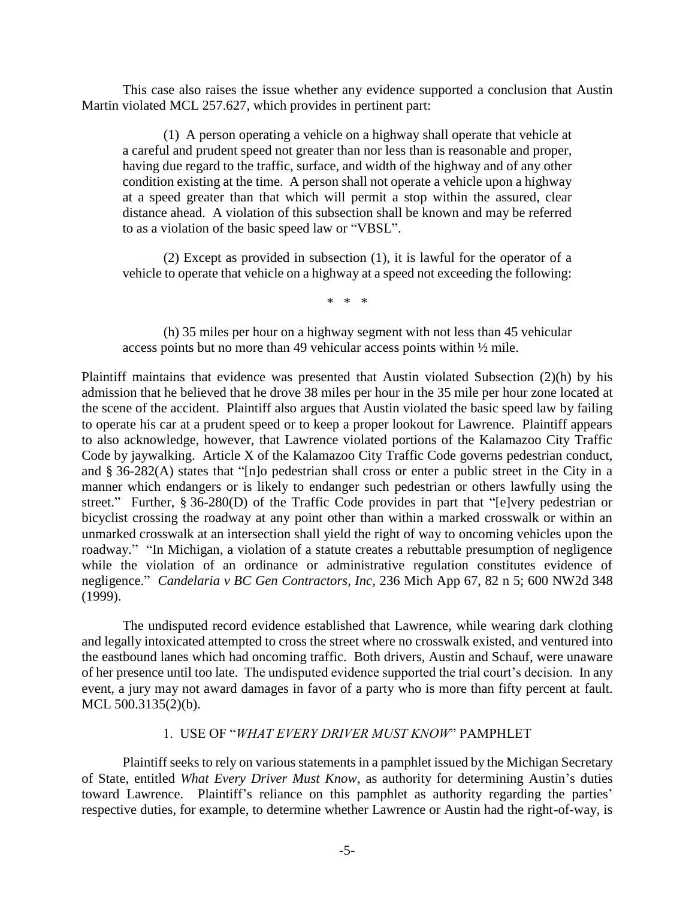This case also raises the issue whether any evidence supported a conclusion that Austin Martin violated MCL 257.627, which provides in pertinent part:

(1) A person operating a vehicle on a highway shall operate that vehicle at a careful and prudent speed not greater than nor less than is reasonable and proper, having due regard to the traffic, surface, and width of the highway and of any other condition existing at the time. A person shall not operate a vehicle upon a highway at a speed greater than that which will permit a stop within the assured, clear distance ahead. A violation of this subsection shall be known and may be referred to as a violation of the basic speed law or "VBSL".

(2) Except as provided in subsection (1), it is lawful for the operator of a vehicle to operate that vehicle on a highway at a speed not exceeding the following:

\* \* \*

(h) 35 miles per hour on a highway segment with not less than 45 vehicular access points but no more than 49 vehicular access points within ½ mile.

Plaintiff maintains that evidence was presented that Austin violated Subsection (2)(h) by his admission that he believed that he drove 38 miles per hour in the 35 mile per hour zone located at the scene of the accident. Plaintiff also argues that Austin violated the basic speed law by failing to operate his car at a prudent speed or to keep a proper lookout for Lawrence. Plaintiff appears to also acknowledge, however, that Lawrence violated portions of the Kalamazoo City Traffic Code by jaywalking. Article X of the Kalamazoo City Traffic Code governs pedestrian conduct, and § 36-282(A) states that "[n]o pedestrian shall cross or enter a public street in the City in a manner which endangers or is likely to endanger such pedestrian or others lawfully using the street." Further, § 36-280(D) of the Traffic Code provides in part that "[e]very pedestrian or bicyclist crossing the roadway at any point other than within a marked crosswalk or within an unmarked crosswalk at an intersection shall yield the right of way to oncoming vehicles upon the roadway." "In Michigan, a violation of a statute creates a rebuttable presumption of negligence while the violation of an ordinance or administrative regulation constitutes evidence of negligence." *Candelaria v BC Gen Contractors, Inc*, 236 Mich App 67, 82 n 5; 600 NW2d 348 (1999).

The undisputed record evidence established that Lawrence, while wearing dark clothing and legally intoxicated attempted to cross the street where no crosswalk existed, and ventured into the eastbound lanes which had oncoming traffic. Both drivers, Austin and Schauf, were unaware of her presence until too late. The undisputed evidence supported the trial court's decision. In any event, a jury may not award damages in favor of a party who is more than fifty percent at fault. MCL 500.3135(2)(b).

# 1. USE OF "*WHAT EVERY DRIVER MUST KNOW*" PAMPHLET

Plaintiff seeks to rely on various statements in a pamphlet issued by the Michigan Secretary of State, entitled *What Every Driver Must Know*, as authority for determining Austin's duties toward Lawrence. Plaintiff's reliance on this pamphlet as authority regarding the parties' respective duties, for example, to determine whether Lawrence or Austin had the right-of-way, is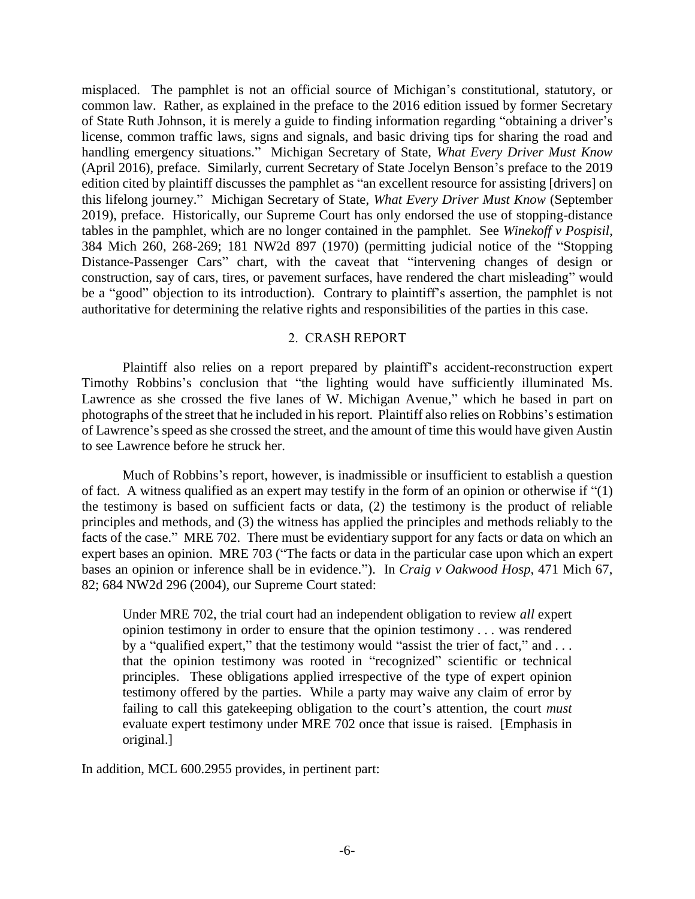misplaced. The pamphlet is not an official source of Michigan's constitutional, statutory, or common law. Rather, as explained in the preface to the 2016 edition issued by former Secretary of State Ruth Johnson, it is merely a guide to finding information regarding "obtaining a driver's license, common traffic laws, signs and signals, and basic driving tips for sharing the road and handling emergency situations." Michigan Secretary of State, *What Every Driver Must Know* (April 2016), preface. Similarly, current Secretary of State Jocelyn Benson's preface to the 2019 edition cited by plaintiff discusses the pamphlet as "an excellent resource for assisting [drivers] on this lifelong journey." Michigan Secretary of State, *What Every Driver Must Know* (September 2019), preface. Historically, our Supreme Court has only endorsed the use of stopping-distance tables in the pamphlet, which are no longer contained in the pamphlet. See *Winekoff v Pospisil*, 384 Mich 260, 268-269; 181 NW2d 897 (1970) (permitting judicial notice of the "Stopping Distance-Passenger Cars" chart, with the caveat that "intervening changes of design or construction, say of cars, tires, or pavement surfaces, have rendered the chart misleading" would be a "good" objection to its introduction). Contrary to plaintiff's assertion, the pamphlet is not authoritative for determining the relative rights and responsibilities of the parties in this case.

### 2. CRASH REPORT

Plaintiff also relies on a report prepared by plaintiff's accident-reconstruction expert Timothy Robbins's conclusion that "the lighting would have sufficiently illuminated Ms. Lawrence as she crossed the five lanes of W. Michigan Avenue," which he based in part on photographs of the street that he included in his report. Plaintiff also relies on Robbins's estimation of Lawrence's speed as she crossed the street, and the amount of time this would have given Austin to see Lawrence before he struck her.

Much of Robbins's report, however, is inadmissible or insufficient to establish a question of fact. A witness qualified as an expert may testify in the form of an opinion or otherwise if "(1) the testimony is based on sufficient facts or data, (2) the testimony is the product of reliable principles and methods, and (3) the witness has applied the principles and methods reliably to the facts of the case." MRE 702. There must be evidentiary support for any facts or data on which an expert bases an opinion. MRE 703 ("The facts or data in the particular case upon which an expert bases an opinion or inference shall be in evidence."). In *Craig v Oakwood Hosp*, 471 Mich 67, 82; 684 NW2d 296 (2004), our Supreme Court stated:

Under MRE 702, the trial court had an independent obligation to review *all* expert opinion testimony in order to ensure that the opinion testimony . . . was rendered by a "qualified expert," that the testimony would "assist the trier of fact," and ... that the opinion testimony was rooted in "recognized" scientific or technical principles. These obligations applied irrespective of the type of expert opinion testimony offered by the parties. While a party may waive any claim of error by failing to call this gatekeeping obligation to the court's attention, the court *must* evaluate expert testimony under MRE 702 once that issue is raised. [Emphasis in original.]

In addition, MCL 600.2955 provides, in pertinent part: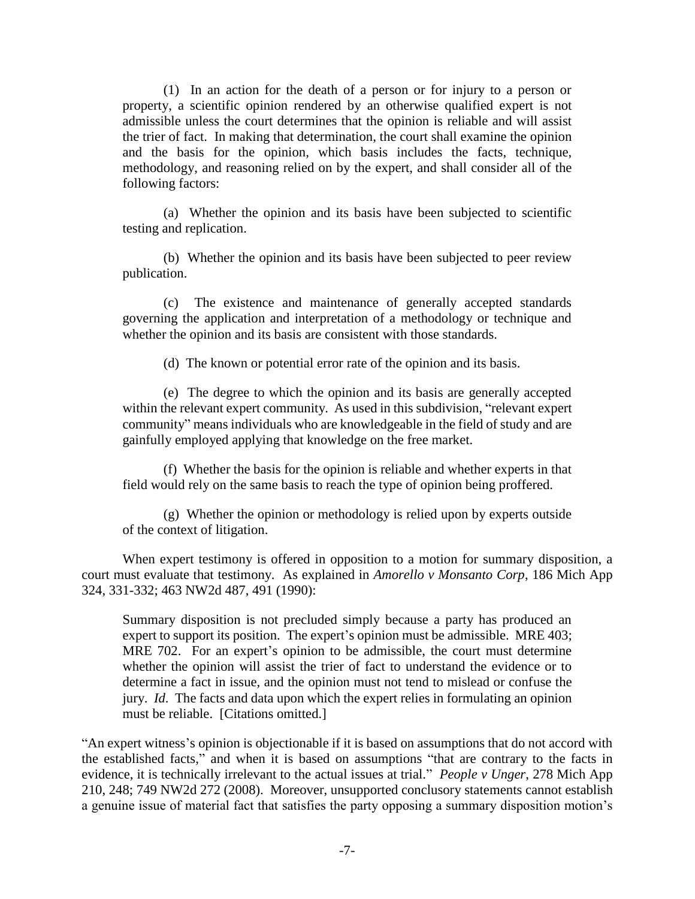(1) In an action for the death of a person or for injury to a person or property, a scientific opinion rendered by an otherwise qualified expert is not admissible unless the court determines that the opinion is reliable and will assist the trier of fact. In making that determination, the court shall examine the opinion and the basis for the opinion, which basis includes the facts, technique, methodology, and reasoning relied on by the expert, and shall consider all of the following factors:

(a) Whether the opinion and its basis have been subjected to scientific testing and replication.

(b) Whether the opinion and its basis have been subjected to peer review publication.

(c) The existence and maintenance of generally accepted standards governing the application and interpretation of a methodology or technique and whether the opinion and its basis are consistent with those standards.

(d) The known or potential error rate of the opinion and its basis.

(e) The degree to which the opinion and its basis are generally accepted within the relevant expert community. As used in this subdivision, "relevant expert community" means individuals who are knowledgeable in the field of study and are gainfully employed applying that knowledge on the free market.

(f) Whether the basis for the opinion is reliable and whether experts in that field would rely on the same basis to reach the type of opinion being proffered.

(g) Whether the opinion or methodology is relied upon by experts outside of the context of litigation.

When expert testimony is offered in opposition to a motion for summary disposition, a court must evaluate that testimony. As explained in *Amorello v Monsanto Corp*, 186 Mich App 324, 331-332; 463 NW2d 487, 491 (1990):

Summary disposition is not precluded simply because a party has produced an expert to support its position. The expert's opinion must be admissible. MRE 403; MRE 702. For an expert's opinion to be admissible, the court must determine whether the opinion will assist the trier of fact to understand the evidence or to determine a fact in issue, and the opinion must not tend to mislead or confuse the jury. *Id*. The facts and data upon which the expert relies in formulating an opinion must be reliable. [Citations omitted.]

"An expert witness's opinion is objectionable if it is based on assumptions that do not accord with the established facts," and when it is based on assumptions "that are contrary to the facts in evidence, it is technically irrelevant to the actual issues at trial." *People v Unger*, 278 Mich App 210, 248; 749 NW2d 272 (2008). Moreover, unsupported conclusory statements cannot establish a genuine issue of material fact that satisfies the party opposing a summary disposition motion's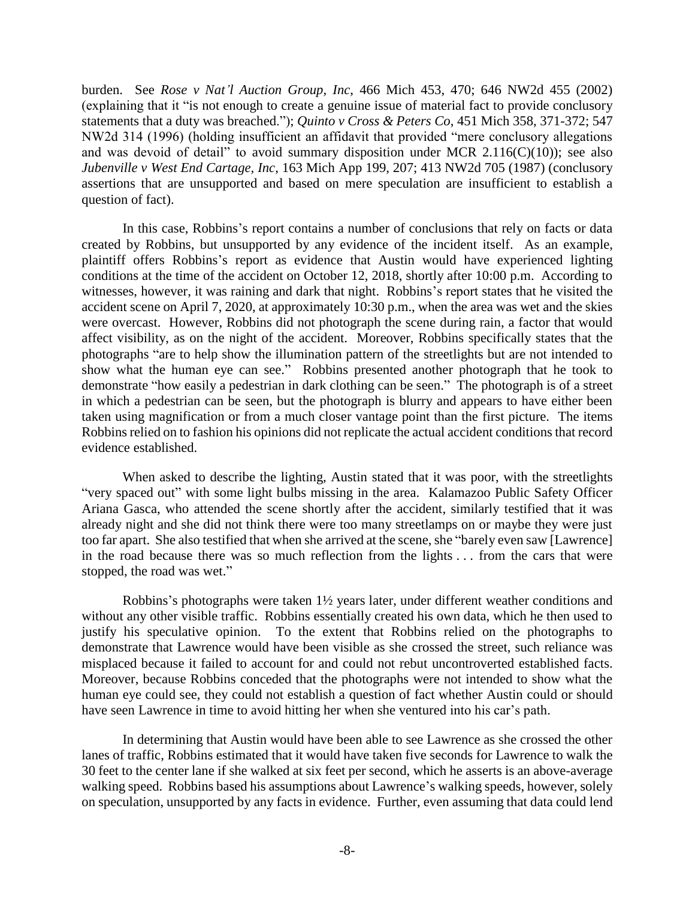burden. See *Rose v Nat'l Auction Group, Inc*, 466 Mich 453, 470; 646 NW2d 455 (2002) (explaining that it "is not enough to create a genuine issue of material fact to provide conclusory statements that a duty was breached."); *Quinto v Cross & Peters Co*, 451 Mich 358, 371-372; 547 NW2d 314 (1996) (holding insufficient an affidavit that provided "mere conclusory allegations and was devoid of detail" to avoid summary disposition under MCR  $2.116(C)(10)$ ; see also *Jubenville v West End Cartage, Inc*, 163 Mich App 199, 207; 413 NW2d 705 (1987) (conclusory assertions that are unsupported and based on mere speculation are insufficient to establish a question of fact).

In this case, Robbins's report contains a number of conclusions that rely on facts or data created by Robbins, but unsupported by any evidence of the incident itself. As an example, plaintiff offers Robbins's report as evidence that Austin would have experienced lighting conditions at the time of the accident on October 12, 2018, shortly after 10:00 p.m. According to witnesses, however, it was raining and dark that night. Robbins's report states that he visited the accident scene on April 7, 2020, at approximately 10:30 p.m., when the area was wet and the skies were overcast. However, Robbins did not photograph the scene during rain, a factor that would affect visibility, as on the night of the accident. Moreover, Robbins specifically states that the photographs "are to help show the illumination pattern of the streetlights but are not intended to show what the human eye can see." Robbins presented another photograph that he took to demonstrate "how easily a pedestrian in dark clothing can be seen." The photograph is of a street in which a pedestrian can be seen, but the photograph is blurry and appears to have either been taken using magnification or from a much closer vantage point than the first picture. The items Robbins relied on to fashion his opinions did not replicate the actual accident conditions that record evidence established.

When asked to describe the lighting, Austin stated that it was poor, with the streetlights "very spaced out" with some light bulbs missing in the area. Kalamazoo Public Safety Officer Ariana Gasca, who attended the scene shortly after the accident, similarly testified that it was already night and she did not think there were too many streetlamps on or maybe they were just too far apart. She also testified that when she arrived at the scene, she "barely even saw [Lawrence] in the road because there was so much reflection from the lights . . . from the cars that were stopped, the road was wet."

Robbins's photographs were taken 1½ years later, under different weather conditions and without any other visible traffic. Robbins essentially created his own data, which he then used to justify his speculative opinion. To the extent that Robbins relied on the photographs to demonstrate that Lawrence would have been visible as she crossed the street, such reliance was misplaced because it failed to account for and could not rebut uncontroverted established facts. Moreover, because Robbins conceded that the photographs were not intended to show what the human eye could see, they could not establish a question of fact whether Austin could or should have seen Lawrence in time to avoid hitting her when she ventured into his car's path.

In determining that Austin would have been able to see Lawrence as she crossed the other lanes of traffic, Robbins estimated that it would have taken five seconds for Lawrence to walk the 30 feet to the center lane if she walked at six feet per second, which he asserts is an above-average walking speed. Robbins based his assumptions about Lawrence's walking speeds, however, solely on speculation, unsupported by any facts in evidence. Further, even assuming that data could lend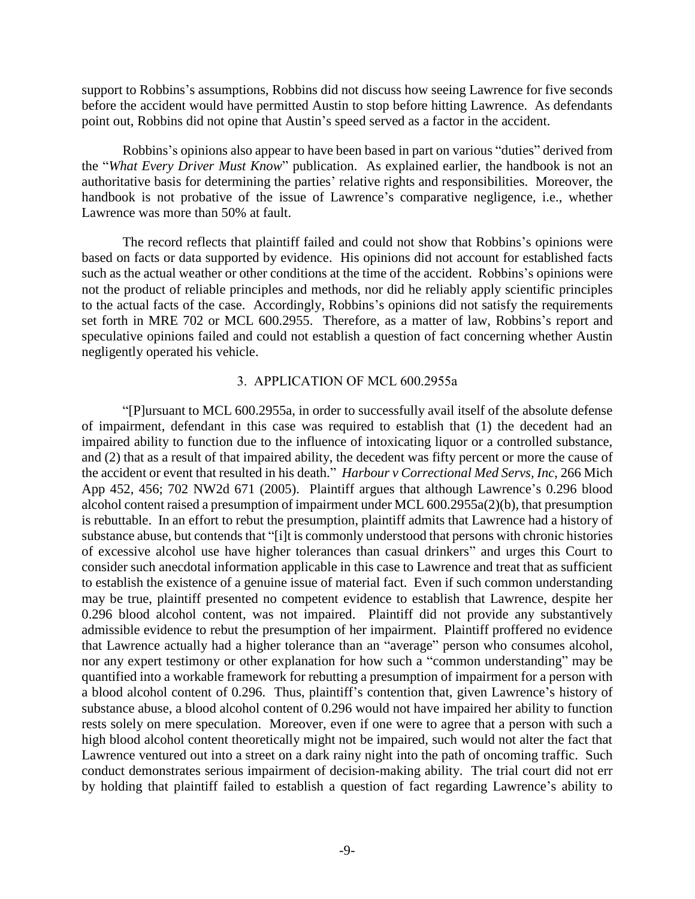support to Robbins's assumptions, Robbins did not discuss how seeing Lawrence for five seconds before the accident would have permitted Austin to stop before hitting Lawrence. As defendants point out, Robbins did not opine that Austin's speed served as a factor in the accident.

Robbins's opinions also appear to have been based in part on various "duties" derived from the "*What Every Driver Must Know*" publication. As explained earlier, the handbook is not an authoritative basis for determining the parties' relative rights and responsibilities. Moreover, the handbook is not probative of the issue of Lawrence's comparative negligence, i.e., whether Lawrence was more than 50% at fault.

The record reflects that plaintiff failed and could not show that Robbins's opinions were based on facts or data supported by evidence. His opinions did not account for established facts such as the actual weather or other conditions at the time of the accident. Robbins's opinions were not the product of reliable principles and methods, nor did he reliably apply scientific principles to the actual facts of the case. Accordingly, Robbins's opinions did not satisfy the requirements set forth in MRE 702 or MCL 600.2955. Therefore, as a matter of law, Robbins's report and speculative opinions failed and could not establish a question of fact concerning whether Austin negligently operated his vehicle.

### 3. APPLICATION OF MCL 600.2955a

"[P]ursuant to MCL 600.2955a, in order to successfully avail itself of the absolute defense of impairment, defendant in this case was required to establish that (1) the decedent had an impaired ability to function due to the influence of intoxicating liquor or a controlled substance, and (2) that as a result of that impaired ability, the decedent was fifty percent or more the cause of the accident or event that resulted in his death." *Harbour v Correctional Med Servs, Inc*, 266 Mich App 452, 456; 702 NW2d 671 (2005). Plaintiff argues that although Lawrence's 0.296 blood alcohol content raised a presumption of impairment under MCL 600.2955a(2)(b), that presumption is rebuttable. In an effort to rebut the presumption, plaintiff admits that Lawrence had a history of substance abuse, but contends that "[i]t is commonly understood that persons with chronic histories of excessive alcohol use have higher tolerances than casual drinkers" and urges this Court to consider such anecdotal information applicable in this case to Lawrence and treat that as sufficient to establish the existence of a genuine issue of material fact. Even if such common understanding may be true, plaintiff presented no competent evidence to establish that Lawrence, despite her 0.296 blood alcohol content, was not impaired. Plaintiff did not provide any substantively admissible evidence to rebut the presumption of her impairment. Plaintiff proffered no evidence that Lawrence actually had a higher tolerance than an "average" person who consumes alcohol, nor any expert testimony or other explanation for how such a "common understanding" may be quantified into a workable framework for rebutting a presumption of impairment for a person with a blood alcohol content of 0.296. Thus, plaintiff's contention that, given Lawrence's history of substance abuse, a blood alcohol content of 0.296 would not have impaired her ability to function rests solely on mere speculation. Moreover, even if one were to agree that a person with such a high blood alcohol content theoretically might not be impaired, such would not alter the fact that Lawrence ventured out into a street on a dark rainy night into the path of oncoming traffic. Such conduct demonstrates serious impairment of decision-making ability. The trial court did not err by holding that plaintiff failed to establish a question of fact regarding Lawrence's ability to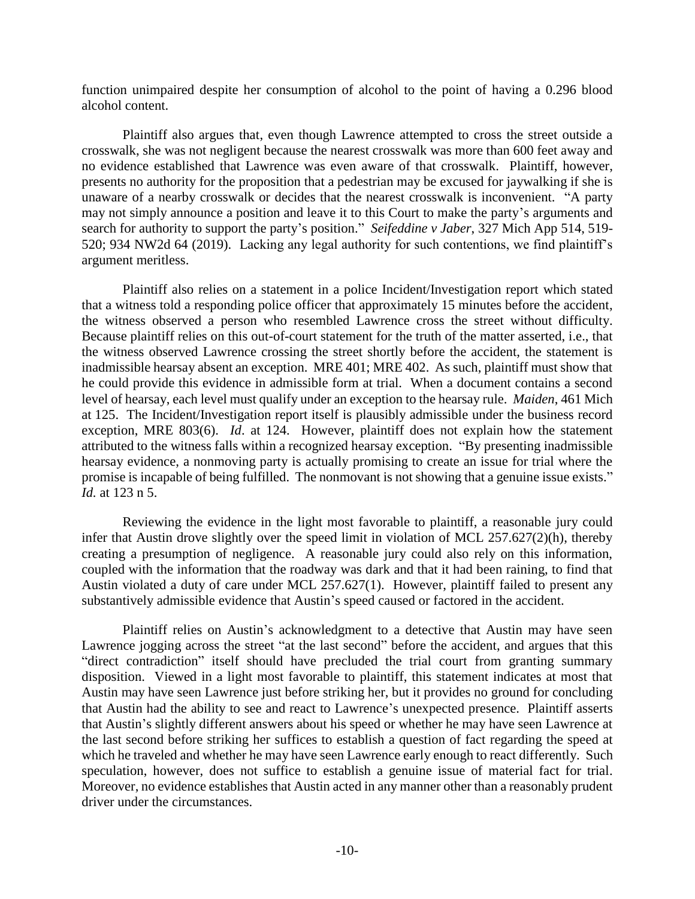function unimpaired despite her consumption of alcohol to the point of having a 0.296 blood alcohol content.

Plaintiff also argues that, even though Lawrence attempted to cross the street outside a crosswalk, she was not negligent because the nearest crosswalk was more than 600 feet away and no evidence established that Lawrence was even aware of that crosswalk. Plaintiff, however, presents no authority for the proposition that a pedestrian may be excused for jaywalking if she is unaware of a nearby crosswalk or decides that the nearest crosswalk is inconvenient. "A party may not simply announce a position and leave it to this Court to make the party's arguments and search for authority to support the party's position." *Seifeddine v Jaber*, 327 Mich App 514, 519- 520; 934 NW2d 64 (2019). Lacking any legal authority for such contentions, we find plaintiff's argument meritless.

Plaintiff also relies on a statement in a police Incident/Investigation report which stated that a witness told a responding police officer that approximately 15 minutes before the accident, the witness observed a person who resembled Lawrence cross the street without difficulty. Because plaintiff relies on this out-of-court statement for the truth of the matter asserted, i.e., that the witness observed Lawrence crossing the street shortly before the accident, the statement is inadmissible hearsay absent an exception. MRE 401; MRE 402. As such, plaintiff must show that he could provide this evidence in admissible form at trial. When a document contains a second level of hearsay, each level must qualify under an exception to the hearsay rule. *Maiden*, 461 Mich at 125. The Incident/Investigation report itself is plausibly admissible under the business record exception, MRE 803(6). *Id*. at 124. However, plaintiff does not explain how the statement attributed to the witness falls within a recognized hearsay exception. "By presenting inadmissible hearsay evidence, a nonmoving party is actually promising to create an issue for trial where the promise is incapable of being fulfilled. The nonmovant is not showing that a genuine issue exists." *Id.* at 123 n 5.

Reviewing the evidence in the light most favorable to plaintiff, a reasonable jury could infer that Austin drove slightly over the speed limit in violation of MCL 257.627(2)(h), thereby creating a presumption of negligence. A reasonable jury could also rely on this information, coupled with the information that the roadway was dark and that it had been raining, to find that Austin violated a duty of care under MCL 257.627(1). However, plaintiff failed to present any substantively admissible evidence that Austin's speed caused or factored in the accident.

Plaintiff relies on Austin's acknowledgment to a detective that Austin may have seen Lawrence jogging across the street "at the last second" before the accident, and argues that this "direct contradiction" itself should have precluded the trial court from granting summary disposition. Viewed in a light most favorable to plaintiff, this statement indicates at most that Austin may have seen Lawrence just before striking her, but it provides no ground for concluding that Austin had the ability to see and react to Lawrence's unexpected presence. Plaintiff asserts that Austin's slightly different answers about his speed or whether he may have seen Lawrence at the last second before striking her suffices to establish a question of fact regarding the speed at which he traveled and whether he may have seen Lawrence early enough to react differently. Such speculation, however, does not suffice to establish a genuine issue of material fact for trial. Moreover, no evidence establishes that Austin acted in any manner other than a reasonably prudent driver under the circumstances.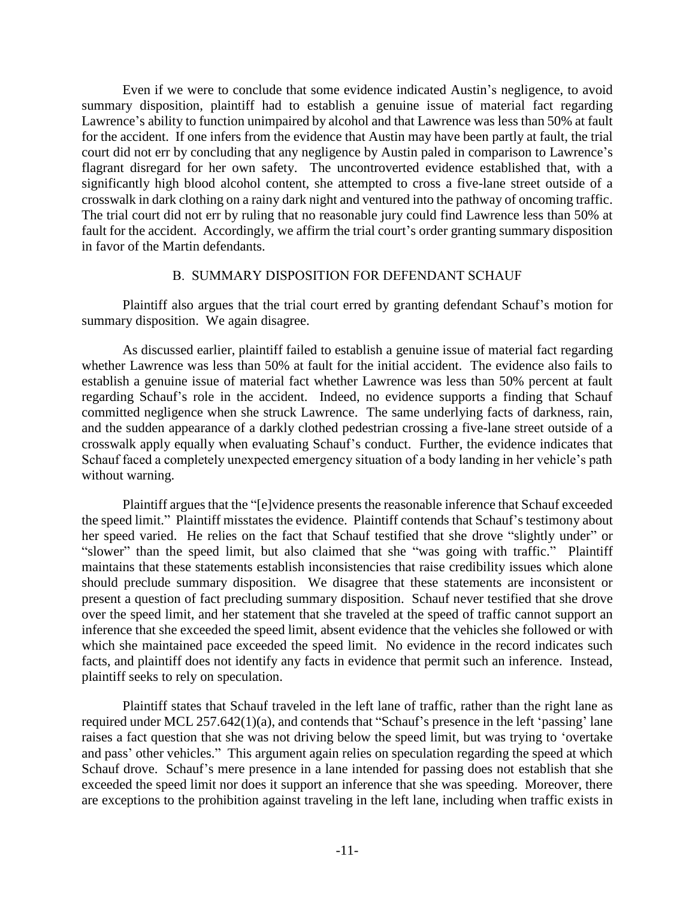Even if we were to conclude that some evidence indicated Austin's negligence, to avoid summary disposition, plaintiff had to establish a genuine issue of material fact regarding Lawrence's ability to function unimpaired by alcohol and that Lawrence was less than 50% at fault for the accident. If one infers from the evidence that Austin may have been partly at fault, the trial court did not err by concluding that any negligence by Austin paled in comparison to Lawrence's flagrant disregard for her own safety. The uncontroverted evidence established that, with a significantly high blood alcohol content, she attempted to cross a five-lane street outside of a crosswalk in dark clothing on a rainy dark night and ventured into the pathway of oncoming traffic. The trial court did not err by ruling that no reasonable jury could find Lawrence less than 50% at fault for the accident. Accordingly, we affirm the trial court's order granting summary disposition in favor of the Martin defendants.

# B. SUMMARY DISPOSITION FOR DEFENDANT SCHAUF

Plaintiff also argues that the trial court erred by granting defendant Schauf's motion for summary disposition. We again disagree.

As discussed earlier, plaintiff failed to establish a genuine issue of material fact regarding whether Lawrence was less than 50% at fault for the initial accident. The evidence also fails to establish a genuine issue of material fact whether Lawrence was less than 50% percent at fault regarding Schauf's role in the accident. Indeed, no evidence supports a finding that Schauf committed negligence when she struck Lawrence. The same underlying facts of darkness, rain, and the sudden appearance of a darkly clothed pedestrian crossing a five-lane street outside of a crosswalk apply equally when evaluating Schauf's conduct. Further, the evidence indicates that Schauf faced a completely unexpected emergency situation of a body landing in her vehicle's path without warning.

Plaintiff argues that the "[e]vidence presents the reasonable inference that Schauf exceeded the speed limit." Plaintiff misstates the evidence. Plaintiff contends that Schauf's testimony about her speed varied. He relies on the fact that Schauf testified that she drove "slightly under" or "slower" than the speed limit, but also claimed that she "was going with traffic." Plaintiff maintains that these statements establish inconsistencies that raise credibility issues which alone should preclude summary disposition. We disagree that these statements are inconsistent or present a question of fact precluding summary disposition. Schauf never testified that she drove over the speed limit, and her statement that she traveled at the speed of traffic cannot support an inference that she exceeded the speed limit, absent evidence that the vehicles she followed or with which she maintained pace exceeded the speed limit. No evidence in the record indicates such facts, and plaintiff does not identify any facts in evidence that permit such an inference. Instead, plaintiff seeks to rely on speculation.

Plaintiff states that Schauf traveled in the left lane of traffic, rather than the right lane as required under MCL 257.642(1)(a), and contends that "Schauf's presence in the left 'passing' lane raises a fact question that she was not driving below the speed limit, but was trying to 'overtake and pass' other vehicles." This argument again relies on speculation regarding the speed at which Schauf drove. Schauf's mere presence in a lane intended for passing does not establish that she exceeded the speed limit nor does it support an inference that she was speeding. Moreover, there are exceptions to the prohibition against traveling in the left lane, including when traffic exists in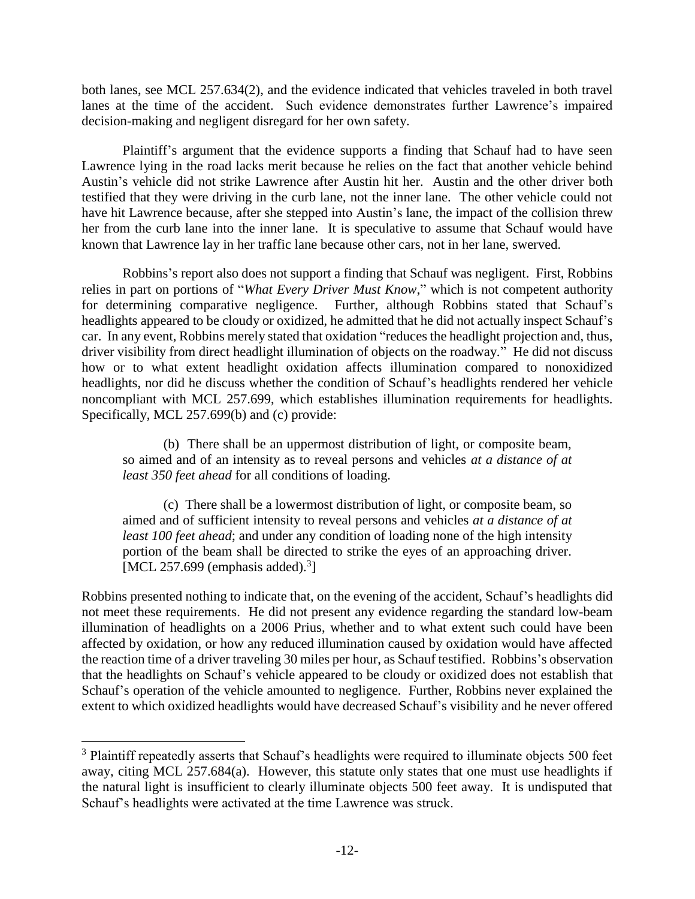both lanes, see MCL 257.634(2), and the evidence indicated that vehicles traveled in both travel lanes at the time of the accident. Such evidence demonstrates further Lawrence's impaired decision-making and negligent disregard for her own safety.

Plaintiff's argument that the evidence supports a finding that Schauf had to have seen Lawrence lying in the road lacks merit because he relies on the fact that another vehicle behind Austin's vehicle did not strike Lawrence after Austin hit her. Austin and the other driver both testified that they were driving in the curb lane, not the inner lane. The other vehicle could not have hit Lawrence because, after she stepped into Austin's lane, the impact of the collision threw her from the curb lane into the inner lane. It is speculative to assume that Schauf would have known that Lawrence lay in her traffic lane because other cars, not in her lane, swerved.

Robbins's report also does not support a finding that Schauf was negligent. First, Robbins relies in part on portions of "*What Every Driver Must Know*," which is not competent authority for determining comparative negligence. Further, although Robbins stated that Schauf's headlights appeared to be cloudy or oxidized, he admitted that he did not actually inspect Schauf's car. In any event, Robbins merely stated that oxidation "reduces the headlight projection and, thus, driver visibility from direct headlight illumination of objects on the roadway." He did not discuss how or to what extent headlight oxidation affects illumination compared to nonoxidized headlights, nor did he discuss whether the condition of Schauf's headlights rendered her vehicle noncompliant with MCL 257.699, which establishes illumination requirements for headlights. Specifically, MCL 257.699(b) and (c) provide:

(b) There shall be an uppermost distribution of light, or composite beam, so aimed and of an intensity as to reveal persons and vehicles *at a distance of at least 350 feet ahead* for all conditions of loading.

(c) There shall be a lowermost distribution of light, or composite beam, so aimed and of sufficient intensity to reveal persons and vehicles *at a distance of at least 100 feet ahead*; and under any condition of loading none of the high intensity portion of the beam shall be directed to strike the eyes of an approaching driver. [MCL 257.699 (emphasis added). $3$ ]

Robbins presented nothing to indicate that, on the evening of the accident, Schauf's headlights did not meet these requirements. He did not present any evidence regarding the standard low-beam illumination of headlights on a 2006 Prius, whether and to what extent such could have been affected by oxidation, or how any reduced illumination caused by oxidation would have affected the reaction time of a driver traveling 30 miles per hour, as Schauf testified. Robbins's observation that the headlights on Schauf's vehicle appeared to be cloudy or oxidized does not establish that Schauf's operation of the vehicle amounted to negligence. Further, Robbins never explained the extent to which oxidized headlights would have decreased Schauf's visibility and he never offered

 $\overline{a}$ 

<sup>&</sup>lt;sup>3</sup> Plaintiff repeatedly asserts that Schauf's headlights were required to illuminate objects 500 feet away, citing MCL 257.684(a). However, this statute only states that one must use headlights if the natural light is insufficient to clearly illuminate objects 500 feet away. It is undisputed that Schauf's headlights were activated at the time Lawrence was struck.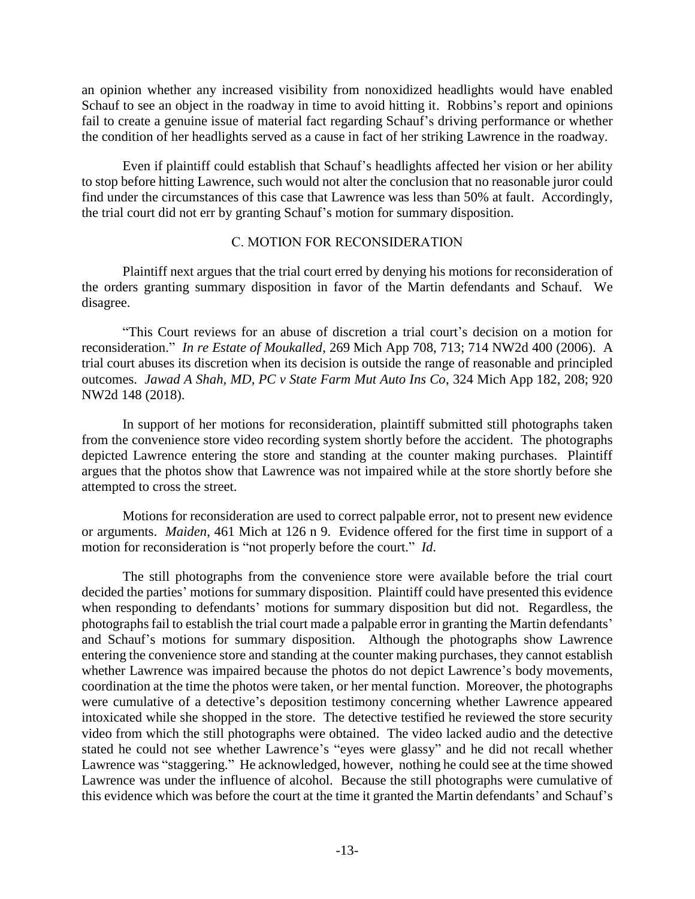an opinion whether any increased visibility from nonoxidized headlights would have enabled Schauf to see an object in the roadway in time to avoid hitting it. Robbins's report and opinions fail to create a genuine issue of material fact regarding Schauf's driving performance or whether the condition of her headlights served as a cause in fact of her striking Lawrence in the roadway.

Even if plaintiff could establish that Schauf's headlights affected her vision or her ability to stop before hitting Lawrence, such would not alter the conclusion that no reasonable juror could find under the circumstances of this case that Lawrence was less than 50% at fault. Accordingly, the trial court did not err by granting Schauf's motion for summary disposition.

# C. MOTION FOR RECONSIDERATION

Plaintiff next argues that the trial court erred by denying his motions for reconsideration of the orders granting summary disposition in favor of the Martin defendants and Schauf. We disagree.

"This Court reviews for an abuse of discretion a trial court's decision on a motion for reconsideration." *In re Estate of Moukalled*, 269 Mich App 708, 713; 714 NW2d 400 (2006). A trial court abuses its discretion when its decision is outside the range of reasonable and principled outcomes. *Jawad A Shah, MD, PC v State Farm Mut Auto Ins Co*, 324 Mich App 182, 208; 920 NW2d 148 (2018).

In support of her motions for reconsideration, plaintiff submitted still photographs taken from the convenience store video recording system shortly before the accident. The photographs depicted Lawrence entering the store and standing at the counter making purchases. Plaintiff argues that the photos show that Lawrence was not impaired while at the store shortly before she attempted to cross the street.

Motions for reconsideration are used to correct palpable error, not to present new evidence or arguments. *Maiden*, 461 Mich at 126 n 9. Evidence offered for the first time in support of a motion for reconsideration is "not properly before the court." *Id*.

The still photographs from the convenience store were available before the trial court decided the parties' motions for summary disposition. Plaintiff could have presented this evidence when responding to defendants' motions for summary disposition but did not. Regardless, the photographs fail to establish the trial court made a palpable error in granting the Martin defendants' and Schauf's motions for summary disposition. Although the photographs show Lawrence entering the convenience store and standing at the counter making purchases, they cannot establish whether Lawrence was impaired because the photos do not depict Lawrence's body movements, coordination at the time the photos were taken, or her mental function. Moreover, the photographs were cumulative of a detective's deposition testimony concerning whether Lawrence appeared intoxicated while she shopped in the store. The detective testified he reviewed the store security video from which the still photographs were obtained. The video lacked audio and the detective stated he could not see whether Lawrence's "eyes were glassy" and he did not recall whether Lawrence was "staggering." He acknowledged, however, nothing he could see at the time showed Lawrence was under the influence of alcohol. Because the still photographs were cumulative of this evidence which was before the court at the time it granted the Martin defendants' and Schauf's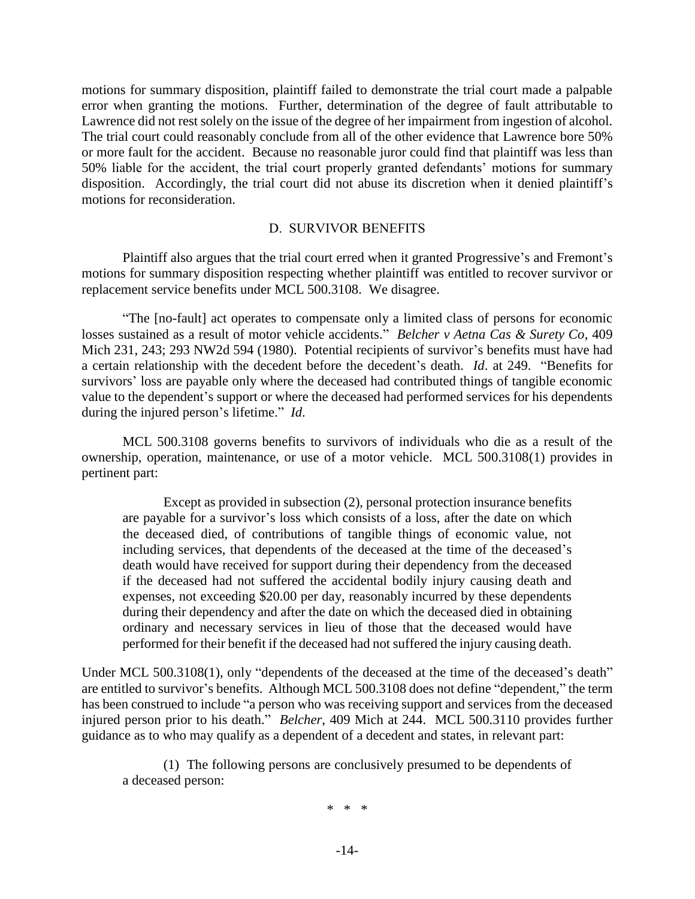motions for summary disposition, plaintiff failed to demonstrate the trial court made a palpable error when granting the motions. Further, determination of the degree of fault attributable to Lawrence did not rest solely on the issue of the degree of her impairment from ingestion of alcohol. The trial court could reasonably conclude from all of the other evidence that Lawrence bore 50% or more fault for the accident. Because no reasonable juror could find that plaintiff was less than 50% liable for the accident, the trial court properly granted defendants' motions for summary disposition. Accordingly, the trial court did not abuse its discretion when it denied plaintiff's motions for reconsideration.

### D. SURVIVOR BENEFITS

Plaintiff also argues that the trial court erred when it granted Progressive's and Fremont's motions for summary disposition respecting whether plaintiff was entitled to recover survivor or replacement service benefits under MCL 500.3108. We disagree.

"The [no-fault] act operates to compensate only a limited class of persons for economic losses sustained as a result of motor vehicle accidents." *Belcher v Aetna Cas & Surety Co*, 409 Mich 231, 243; 293 NW2d 594 (1980). Potential recipients of survivor's benefits must have had a certain relationship with the decedent before the decedent's death. *Id*. at 249. "Benefits for survivors' loss are payable only where the deceased had contributed things of tangible economic value to the dependent's support or where the deceased had performed services for his dependents during the injured person's lifetime." *Id*.

MCL 500.3108 governs benefits to survivors of individuals who die as a result of the ownership, operation, maintenance, or use of a motor vehicle. MCL 500.3108(1) provides in pertinent part:

Except as provided in subsection (2), personal protection insurance benefits are payable for a survivor's loss which consists of a loss, after the date on which the deceased died, of contributions of tangible things of economic value, not including services, that dependents of the deceased at the time of the deceased's death would have received for support during their dependency from the deceased if the deceased had not suffered the accidental bodily injury causing death and expenses, not exceeding \$20.00 per day, reasonably incurred by these dependents during their dependency and after the date on which the deceased died in obtaining ordinary and necessary services in lieu of those that the deceased would have performed for their benefit if the deceased had not suffered the injury causing death.

Under MCL 500.3108(1), only "dependents of the deceased at the time of the deceased's death" are entitled to survivor's benefits. Although MCL 500.3108 does not define "dependent," the term has been construed to include "a person who was receiving support and services from the deceased injured person prior to his death." *Belcher*, 409 Mich at 244. MCL 500.3110 provides further guidance as to who may qualify as a dependent of a decedent and states, in relevant part:

(1) The following persons are conclusively presumed to be dependents of a deceased person:

\* \* \*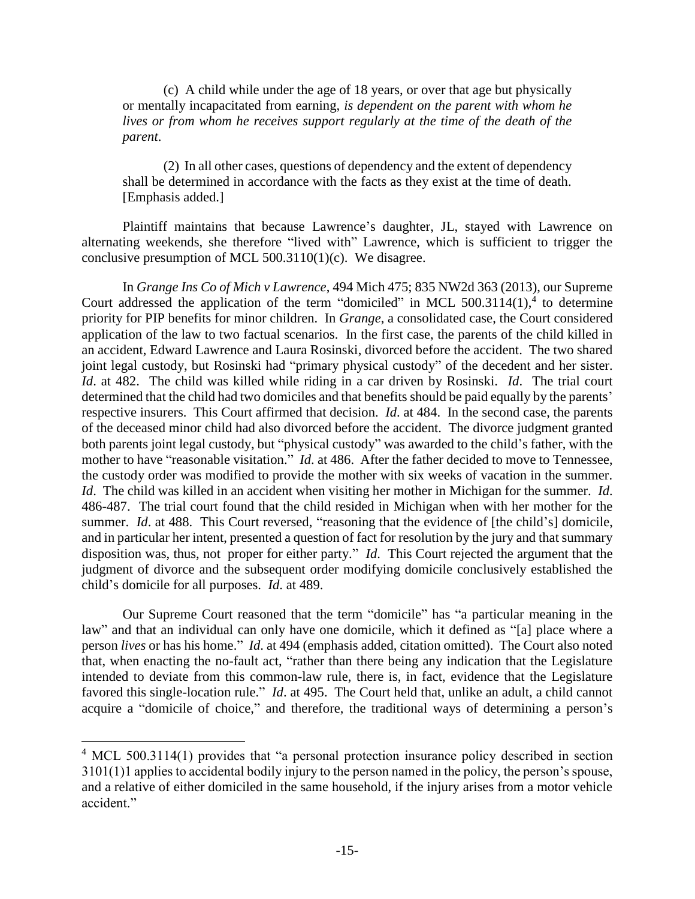(c) A child while under the age of 18 years, or over that age but physically or mentally incapacitated from earning, *is dependent on the parent with whom he lives or from whom he receives support regularly at the time of the death of the parent*.

(2) In all other cases, questions of dependency and the extent of dependency shall be determined in accordance with the facts as they exist at the time of death. [Emphasis added.]

Plaintiff maintains that because Lawrence's daughter, JL, stayed with Lawrence on alternating weekends, she therefore "lived with" Lawrence, which is sufficient to trigger the conclusive presumption of MCL 500.3110(1)(c). We disagree.

In *Grange Ins Co of Mich v Lawrence*, 494 Mich 475; 835 NW2d 363 (2013), our Supreme Court addressed the application of the term "domiciled" in MCL  $500.3114(1)$ ,<sup>4</sup> to determine priority for PIP benefits for minor children. In *Grange*, a consolidated case, the Court considered application of the law to two factual scenarios. In the first case, the parents of the child killed in an accident, Edward Lawrence and Laura Rosinski, divorced before the accident. The two shared joint legal custody, but Rosinski had "primary physical custody" of the decedent and her sister. *Id*. at 482. The child was killed while riding in a car driven by Rosinski. *Id*. The trial court determined that the child had two domiciles and that benefits should be paid equally by the parents' respective insurers. This Court affirmed that decision. *Id*. at 484. In the second case, the parents of the deceased minor child had also divorced before the accident. The divorce judgment granted both parents joint legal custody, but "physical custody" was awarded to the child's father, with the mother to have "reasonable visitation." *Id*. at 486. After the father decided to move to Tennessee, the custody order was modified to provide the mother with six weeks of vacation in the summer. *Id*. The child was killed in an accident when visiting her mother in Michigan for the summer. *Id*. 486-487. The trial court found that the child resided in Michigan when with her mother for the summer. *Id.* at 488. This Court reversed, "reasoning that the evidence of [the child's] domicile, and in particular her intent, presented a question of fact for resolution by the jury and that summary disposition was, thus, not proper for either party." *Id*. This Court rejected the argument that the judgment of divorce and the subsequent order modifying domicile conclusively established the child's domicile for all purposes. *Id*. at 489.

Our Supreme Court reasoned that the term "domicile" has "a particular meaning in the law" and that an individual can only have one domicile, which it defined as "[a] place where a person *lives* or has his home." *Id*. at 494 (emphasis added, citation omitted). The Court also noted that, when enacting the no-fault act, "rather than there being any indication that the Legislature intended to deviate from this common-law rule, there is, in fact, evidence that the Legislature favored this single-location rule." *Id*. at 495. The Court held that, unlike an adult, a child cannot acquire a "domicile of choice," and therefore, the traditional ways of determining a person's

 $\overline{a}$ 

<sup>&</sup>lt;sup>4</sup> MCL 500.3114(1) provides that "a personal protection insurance policy described in section 3101(1)1 applies to accidental bodily injury to the person named in the policy, the person's spouse, and a relative of either domiciled in the same household, if the injury arises from a motor vehicle accident."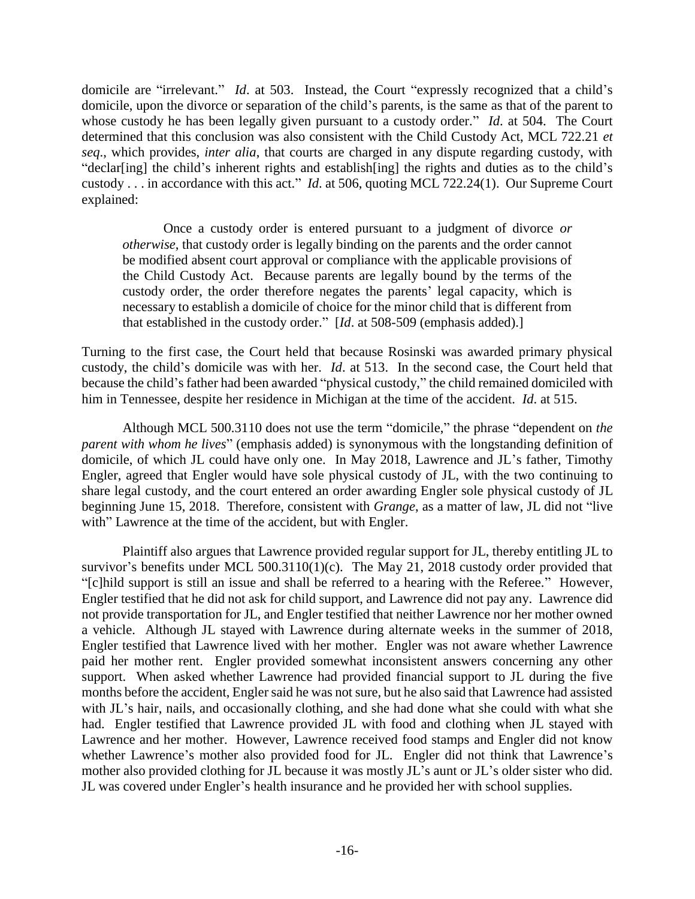domicile are "irrelevant." *Id*. at 503. Instead, the Court "expressly recognized that a child's domicile, upon the divorce or separation of the child's parents, is the same as that of the parent to whose custody he has been legally given pursuant to a custody order." *Id*. at 504. The Court determined that this conclusion was also consistent with the Child Custody Act, MCL 722.21 *et seq*., which provides, *inter alia*, that courts are charged in any dispute regarding custody, with "declar[ing] the child's inherent rights and establish[ing] the rights and duties as to the child's custody . . . in accordance with this act." *Id*. at 506, quoting MCL 722.24(1). Our Supreme Court explained:

Once a custody order is entered pursuant to a judgment of divorce *or otherwise*, that custody order is legally binding on the parents and the order cannot be modified absent court approval or compliance with the applicable provisions of the Child Custody Act. Because parents are legally bound by the terms of the custody order, the order therefore negates the parents' legal capacity, which is necessary to establish a domicile of choice for the minor child that is different from that established in the custody order." [*Id*. at 508-509 (emphasis added).]

Turning to the first case, the Court held that because Rosinski was awarded primary physical custody, the child's domicile was with her. *Id*. at 513. In the second case, the Court held that because the child's father had been awarded "physical custody," the child remained domiciled with him in Tennessee, despite her residence in Michigan at the time of the accident. *Id*. at 515.

Although MCL 500.3110 does not use the term "domicile," the phrase "dependent on *the parent with whom he lives*" (emphasis added) is synonymous with the longstanding definition of domicile, of which JL could have only one. In May 2018, Lawrence and JL's father, Timothy Engler, agreed that Engler would have sole physical custody of JL, with the two continuing to share legal custody, and the court entered an order awarding Engler sole physical custody of JL beginning June 15, 2018. Therefore, consistent with *Grange*, as a matter of law, JL did not "live with" Lawrence at the time of the accident, but with Engler.

Plaintiff also argues that Lawrence provided regular support for JL, thereby entitling JL to survivor's benefits under MCL 500.3110(1)(c). The May 21, 2018 custody order provided that "[c]hild support is still an issue and shall be referred to a hearing with the Referee." However, Engler testified that he did not ask for child support, and Lawrence did not pay any. Lawrence did not provide transportation for JL, and Engler testified that neither Lawrence nor her mother owned a vehicle. Although JL stayed with Lawrence during alternate weeks in the summer of 2018, Engler testified that Lawrence lived with her mother. Engler was not aware whether Lawrence paid her mother rent. Engler provided somewhat inconsistent answers concerning any other support. When asked whether Lawrence had provided financial support to JL during the five months before the accident, Engler said he was not sure, but he also said that Lawrence had assisted with JL's hair, nails, and occasionally clothing, and she had done what she could with what she had. Engler testified that Lawrence provided JL with food and clothing when JL stayed with Lawrence and her mother. However, Lawrence received food stamps and Engler did not know whether Lawrence's mother also provided food for JL. Engler did not think that Lawrence's mother also provided clothing for JL because it was mostly JL's aunt or JL's older sister who did. JL was covered under Engler's health insurance and he provided her with school supplies.